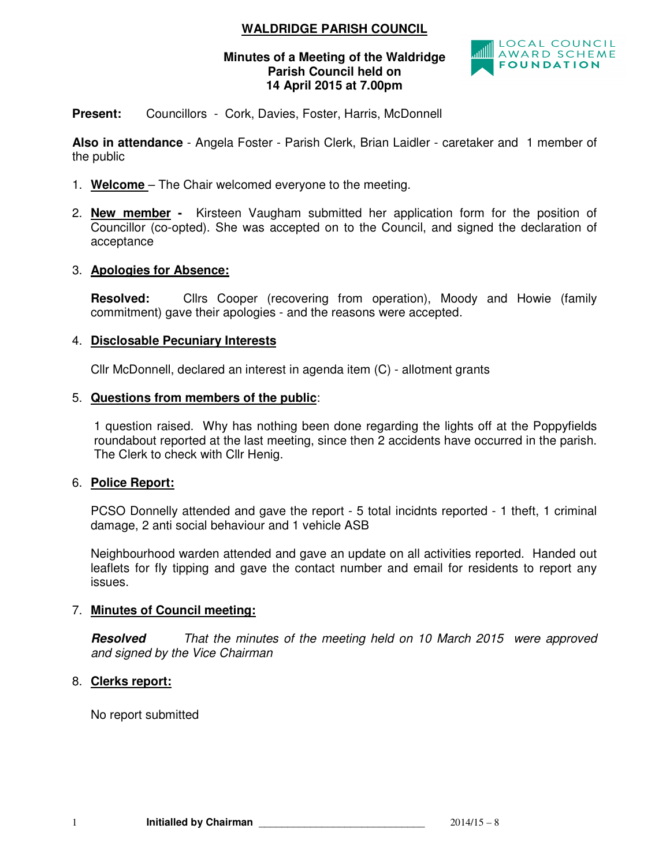# **WALDRIDGE PARISH COUNCIL**

### **Minutes of a Meeting of the Waldridge Parish Council held on 14 April 2015 at 7.00pm**



**Present:** Councillors - Cork, Davies, Foster, Harris, McDonnell

**Also in attendance** - Angela Foster - Parish Clerk, Brian Laidler - caretaker and 1 member of the public

- 1. **Welcome**  The Chair welcomed everyone to the meeting.
- 2. **New member** Kirsteen Vaugham submitted her application form for the position of Councillor (co-opted). She was accepted on to the Council, and signed the declaration of acceptance

## 3. **Apologies for Absence:**

**Resolved:** Cllrs Cooper (recovering from operation), Moody and Howie (family commitment) gave their apologies - and the reasons were accepted.

## 4. **Disclosable Pecuniary Interests**

Cllr McDonnell, declared an interest in agenda item (C) - allotment grants

## 5. **Questions from members of the public**:

1 question raised. Why has nothing been done regarding the lights off at the Poppyfields roundabout reported at the last meeting, since then 2 accidents have occurred in the parish. The Clerk to check with Cllr Henig.

### 6. **Police Report:**

PCSO Donnelly attended and gave the report - 5 total incidnts reported - 1 theft, 1 criminal damage, 2 anti social behaviour and 1 vehicle ASB

Neighbourhood warden attended and gave an update on all activities reported. Handed out leaflets for fly tipping and gave the contact number and email for residents to report any issues.

# 7. **Minutes of Council meeting:**

**Resolved** *That the minutes of the meeting held on 10 March 2015 were approved and signed by the Vice Chairman* 

# 8. **Clerks report:**

No report submitted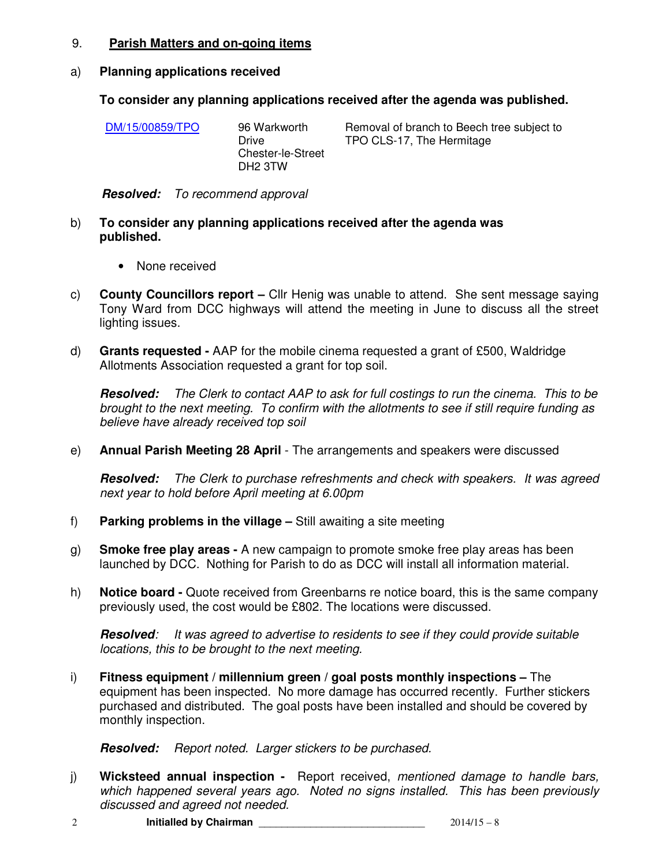### 9. **Parish Matters and on-going items**

### a) **Planning applications received**

### **To consider any planning applications received after the agenda was published.**

| TPO CLS-17, The Hermitage |
|---------------------------|
|                           |

**Resolved:** *To recommend approval* 

- b) **To consider any planning applications received after the agenda was published.** 
	- None received
- c) **County Councillors report** Cllr Henig was unable to attend. She sent message saying Tony Ward from DCC highways will attend the meeting in June to discuss all the street lighting issues.
- d) **Grants requested** AAP for the mobile cinema requested a grant of £500, Waldridge Allotments Association requested a grant for top soil.

**Resolved:** *The Clerk to contact AAP to ask for full costings to run the cinema. This to be brought to the next meeting. To confirm with the allotments to see if still require funding as believe have already received top soil* 

e) **Annual Parish Meeting 28 April** - The arrangements and speakers were discussed

**Resolved:** *The Clerk to purchase refreshments and check with speakers. It was agreed next year to hold before April meeting at 6.00pm*

- f) **Parking problems in the village –** Still awaiting a site meeting
- g) **Smoke free play areas** A new campaign to promote smoke free play areas has been launched by DCC. Nothing for Parish to do as DCC will install all information material.
- h) **Notice board** Quote received from Greenbarns re notice board, this is the same company previously used, the cost would be £802. The locations were discussed.

**Resolved***: It was agreed to advertise to residents to see if they could provide suitable locations, this to be brought to the next meeting.*

i) **Fitness equipment / millennium green / goal posts monthly inspections –** The equipment has been inspected. No more damage has occurred recently. Further stickers purchased and distributed. The goal posts have been installed and should be covered by monthly inspection.

**Resolved:** *Report noted. Larger stickers to be purchased.* 

- j) **Wicksteed annual inspection** Report received, *mentioned damage to handle bars, which happened several years ago. Noted no signs installed. This has been previously discussed and agreed not needed.*
- 2 **Initialled by Chairman 1997 12014/15 8 Initialled by Chairman**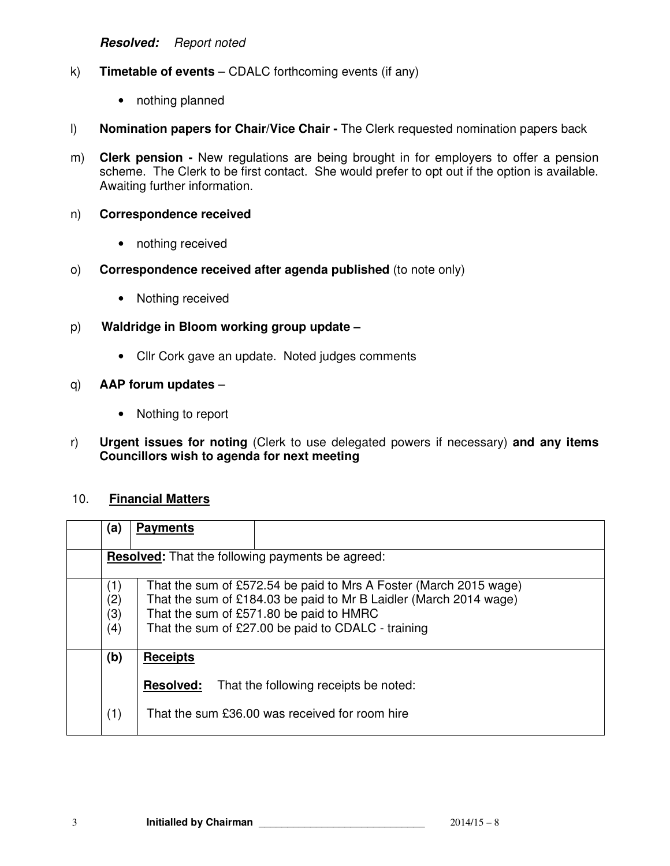**Resolved:** *Report noted* 

- k) **Timetable of events** CDALC forthcoming events (if any)
	- nothing planned
- l) **Nomination papers for Chair/Vice Chair** The Clerk requested nomination papers back
- m) **Clerk pension** New regulations are being brought in for employers to offer a pension scheme. The Clerk to be first contact. She would prefer to opt out if the option is available. Awaiting further information.

#### n) **Correspondence received**

- nothing received
- o) **Correspondence received after agenda published** (to note only)
	- Nothing received
- p) **Waldridge in Bloom working group update** 
	- Cllr Cork gave an update. Noted judges comments

#### q) **AAP forum updates** –

- Nothing to report
- r) **Urgent issues for noting** (Clerk to use delegated powers if necessary) **and any items Councillors wish to agenda for next meeting**

#### 10. **Financial Matters**

| (a)                                                     | <b>Payments</b>                                                                                                                                                                                                                         |  |  |
|---------------------------------------------------------|-----------------------------------------------------------------------------------------------------------------------------------------------------------------------------------------------------------------------------------------|--|--|
| <b>Resolved:</b> That the following payments be agreed: |                                                                                                                                                                                                                                         |  |  |
| (1)<br>(2)<br>(3)<br>(4)                                | That the sum of £572.54 be paid to Mrs A Foster (March 2015 wage)<br>That the sum of £184.03 be paid to Mr B Laidler (March 2014 wage)<br>That the sum of £571.80 be paid to HMRC<br>That the sum of £27.00 be paid to CDALC - training |  |  |
| (b)                                                     | <b>Receipts</b><br>That the following receipts be noted:<br><b>Resolved:</b>                                                                                                                                                            |  |  |
| (1)                                                     | That the sum £36.00 was received for room hire                                                                                                                                                                                          |  |  |